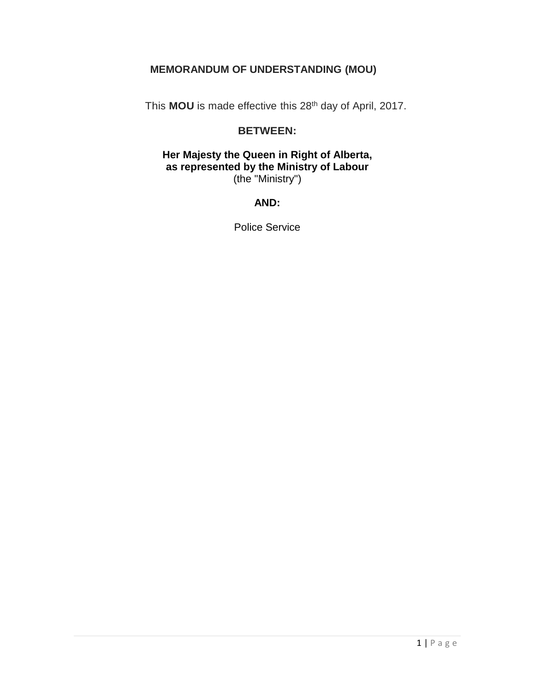## **MEMORANDUM OF UNDERSTANDING (MOU)**

This **MOU** is made effective this 28th day of April, 2017.

#### **BETWEEN:**

#### **Her Majesty the Queen in Right of Alberta, as represented by the Ministry of Labour** (the "Ministry")

# **AND:**

Police Service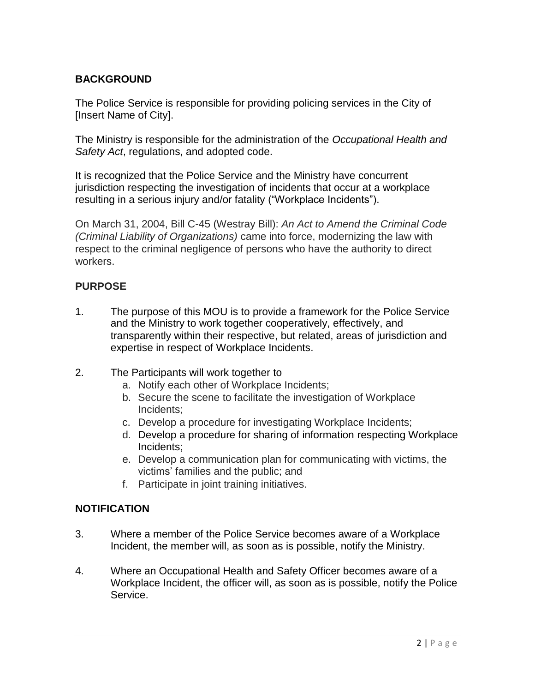# **BACKGROUND**

The Police Service is responsible for providing policing services in the City of [Insert Name of City].

The Ministry is responsible for the administration of the *Occupational Health and Safety Act*, regulations, and adopted code.

It is recognized that the Police Service and the Ministry have concurrent jurisdiction respecting the investigation of incidents that occur at a workplace resulting in a serious injury and/or fatality ("Workplace Incidents").

On March 31, 2004, Bill C-45 (Westray Bill): *An Act to Amend the Criminal Code (Criminal Liability of Organizations)* came into force, modernizing the law with respect to the criminal negligence of persons who have the authority to direct workers.

## **PURPOSE**

- 1. The purpose of this MOU is to provide a framework for the Police Service and the Ministry to work together cooperatively, effectively, and transparently within their respective, but related, areas of jurisdiction and expertise in respect of Workplace Incidents.
- 2. The Participants will work together to
	- a. Notify each other of Workplace Incidents;
	- b. Secure the scene to facilitate the investigation of Workplace Incidents;
	- c. Develop a procedure for investigating Workplace Incidents;
	- d. Develop a procedure for sharing of information respecting Workplace Incidents;
	- e. Develop a communication plan for communicating with victims, the victims' families and the public; and
	- f. Participate in joint training initiatives.

## **NOTIFICATION**

- 3. Where a member of the Police Service becomes aware of a Workplace Incident, the member will, as soon as is possible, notify the Ministry.
- 4. Where an Occupational Health and Safety Officer becomes aware of a Workplace Incident, the officer will, as soon as is possible, notify the Police Service.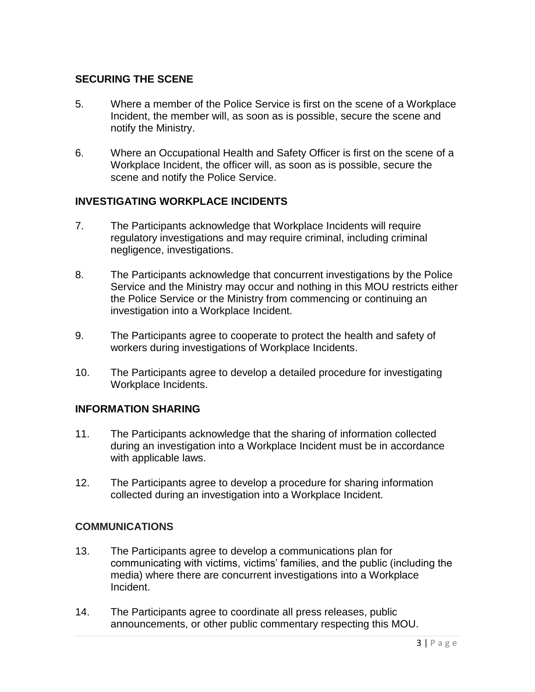#### **SECURING THE SCENE**

- 5. Where a member of the Police Service is first on the scene of a Workplace Incident, the member will, as soon as is possible, secure the scene and notify the Ministry.
- 6. Where an Occupational Health and Safety Officer is first on the scene of a Workplace Incident, the officer will, as soon as is possible, secure the scene and notify the Police Service.

## **INVESTIGATING WORKPLACE INCIDENTS**

- 7. The Participants acknowledge that Workplace Incidents will require regulatory investigations and may require criminal, including criminal negligence, investigations.
- 8. The Participants acknowledge that concurrent investigations by the Police Service and the Ministry may occur and nothing in this MOU restricts either the Police Service or the Ministry from commencing or continuing an investigation into a Workplace Incident.
- 9. The Participants agree to cooperate to protect the health and safety of workers during investigations of Workplace Incidents.
- 10. The Participants agree to develop a detailed procedure for investigating Workplace Incidents.

#### **INFORMATION SHARING**

- 11. The Participants acknowledge that the sharing of information collected during an investigation into a Workplace Incident must be in accordance with applicable laws.
- 12. The Participants agree to develop a procedure for sharing information collected during an investigation into a Workplace Incident.

## **COMMUNICATIONS**

- 13. The Participants agree to develop a communications plan for communicating with victims, victims' families, and the public (including the media) where there are concurrent investigations into a Workplace Incident.
- 14. The Participants agree to coordinate all press releases, public announcements, or other public commentary respecting this MOU.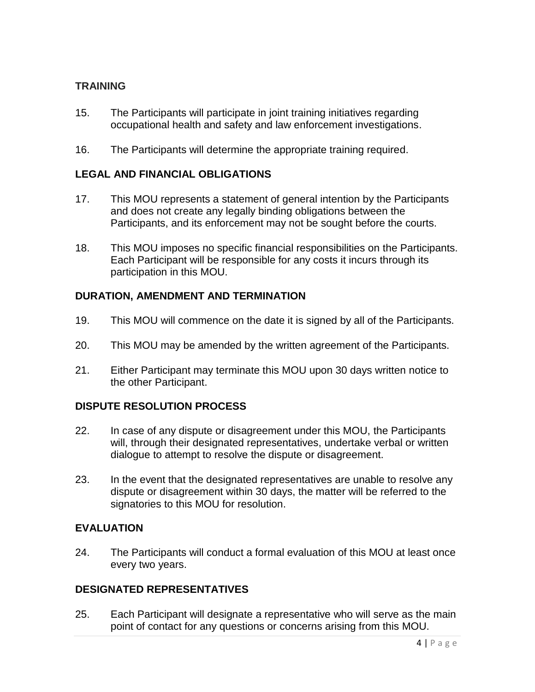## **TRAINING**

- 15. The Participants will participate in joint training initiatives regarding occupational health and safety and law enforcement investigations.
- 16. The Participants will determine the appropriate training required.

## **LEGAL AND FINANCIAL OBLIGATIONS**

- 17. This MOU represents a statement of general intention by the Participants and does not create any legally binding obligations between the Participants, and its enforcement may not be sought before the courts.
- 18. This MOU imposes no specific financial responsibilities on the Participants. Each Participant will be responsible for any costs it incurs through its participation in this MOU.

#### **DURATION, AMENDMENT AND TERMINATION**

- 19. This MOU will commence on the date it is signed by all of the Participants.
- 20. This MOU may be amended by the written agreement of the Participants.
- 21. Either Participant may terminate this MOU upon 30 days written notice to the other Participant.

#### **DISPUTE RESOLUTION PROCESS**

- 22. In case of any dispute or disagreement under this MOU, the Participants will, through their designated representatives, undertake verbal or written dialogue to attempt to resolve the dispute or disagreement.
- 23. In the event that the designated representatives are unable to resolve any dispute or disagreement within 30 days, the matter will be referred to the signatories to this MOU for resolution.

## **EVALUATION**

24. The Participants will conduct a formal evaluation of this MOU at least once every two years.

#### **DESIGNATED REPRESENTATIVES**

25. Each Participant will designate a representative who will serve as the main point of contact for any questions or concerns arising from this MOU.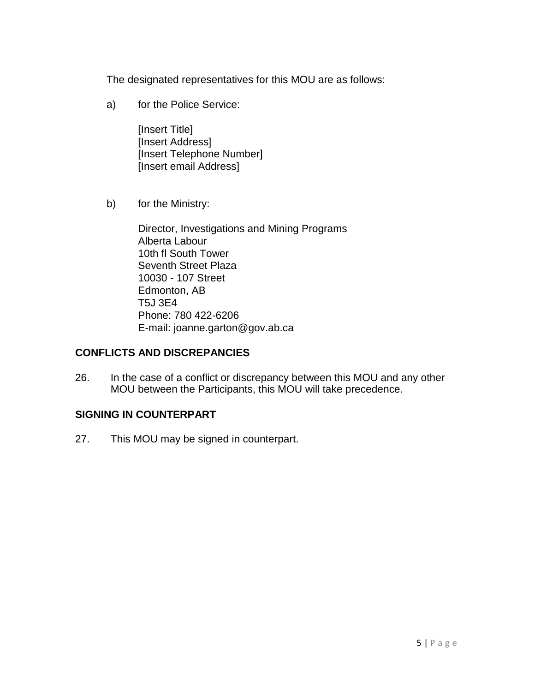The designated representatives for this MOU are as follows:

a) for the Police Service:

[Insert Title] [Insert Address] [Insert Telephone Number] [Insert email Address]

b) for the Ministry:

Director, Investigations and Mining Programs Alberta Labour 10th fl South Tower Seventh Street Plaza 10030 - 107 Street Edmonton, AB T5J 3E4 Phone: 780 422-6206 E-mail: joanne.garton@gov.ab.ca

## **CONFLICTS AND DISCREPANCIES**

26. In the case of a conflict or discrepancy between this MOU and any other MOU between the Participants, this MOU will take precedence.

# **SIGNING IN COUNTERPART**

27. This MOU may be signed in counterpart.